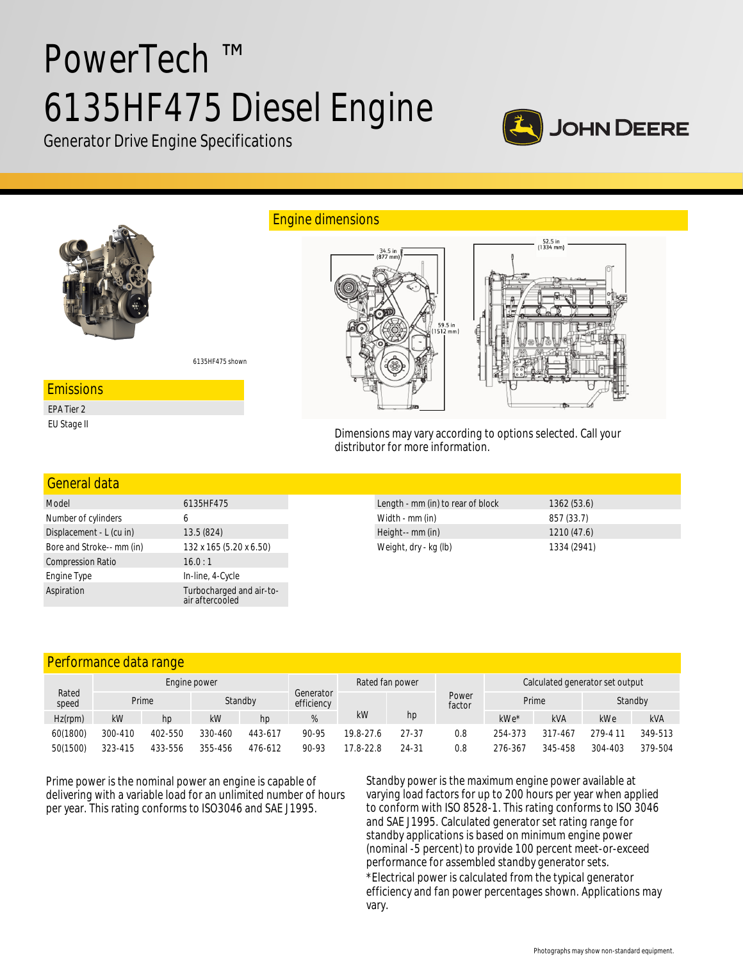# PowerTech ™ 6135HF475 Diesel Engine



Generator Drive Engine Specifications



| Model                     | 6135HF475                                   |  |  |  |  |
|---------------------------|---------------------------------------------|--|--|--|--|
| Number of cylinders       | 6                                           |  |  |  |  |
| Displacement - L (cu in)  | 13.5 (824)                                  |  |  |  |  |
| Bore and Stroke-- mm (in) | 132 x 165 (5.20 x 6.50)                     |  |  |  |  |
| <b>Compression Ratio</b>  | 16.0:1                                      |  |  |  |  |
| Engine Type               | In-line, 4-Cycle                            |  |  |  |  |
| Aspiration                | Turbocharged and air-to-<br>air aftercooled |  |  |  |  |

| Length - mm (in) to rear of block | 1362(53.6)  |
|-----------------------------------|-------------|
| Width - mm (in)                   | 857 (33.7)  |
| Height-- mm (in)                  | 1210(47.6)  |
| Weight, dry - kg (lb)             | 1334 (2941) |

# Performance data range

| Rated<br>speed | Engine power |         |         |         | Rated fan power         |           |       | Calculated generator set output |         |               |         |            |
|----------------|--------------|---------|---------|---------|-------------------------|-----------|-------|---------------------------------|---------|---------------|---------|------------|
|                |              | Prime   | Standby |         | Generator<br>efficiency |           |       | Power<br>factor                 | Prime   |               |         | Standby    |
| $Hz$ (rpm)     | kW           | hp      | kW      | hp      |                         | kW        | hp    |                                 | kWe*    | <b>kVA</b>    | kWe     | <b>kVA</b> |
| 60(1800)       | 300-410      | 402-550 | 330-460 | 443-617 | 90-95                   | 19.8-27.6 | 27-37 | 0.8                             | 254-373 | 317<br>$-467$ | 279-411 | 349-513    |
| 50(1500)       | 323-415      | 433-556 | 355-456 | 476-612 | 90-93                   | 17.8-22.8 | 24-31 | 0.8                             | 276-367 | 345-458       | 304-403 | 379-504    |

Prime power is the nominal power an engine is capable of delivering with a variable load for an unlimited number of hours per year. This rating conforms to ISO3046 and SAE J1995.

Standby power is the maximum engine power available at varying load factors for up to 200 hours per year when applied to conform with ISO 8528-1. This rating conforms to ISO 3046 and SAE J1995. Calculated generator set rating range for standby applications is based on minimum engine power (nominal -5 percent) to provide 100 percent meet-or-exceed performance for assembled standby generator sets. \*Electrical power is calculated from the typical generator efficiency and fan power percentages shown. Applications may vary.